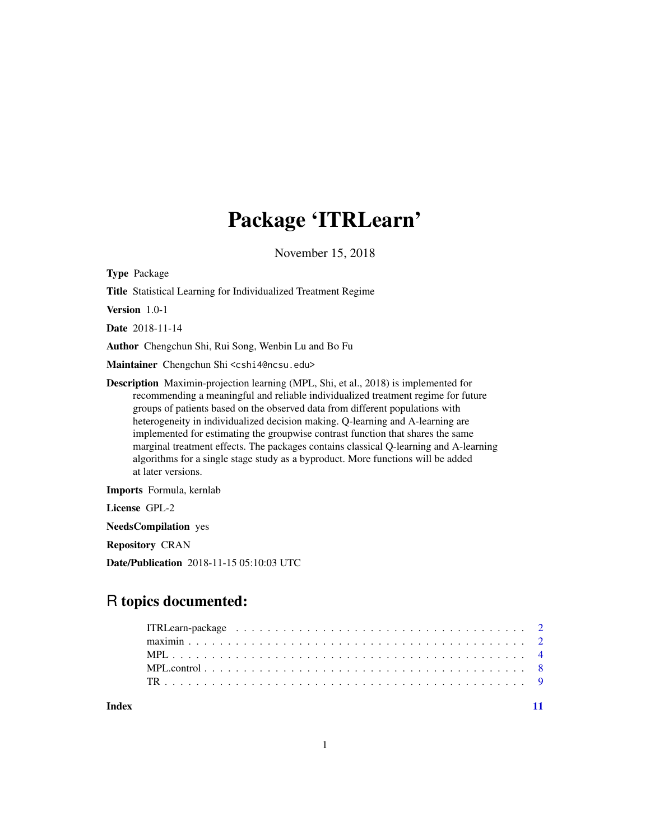## Package 'ITRLearn'

November 15, 2018

<span id="page-0-0"></span>Type Package

Title Statistical Learning for Individualized Treatment Regime

Version 1.0-1

Date 2018-11-14

Author Chengchun Shi, Rui Song, Wenbin Lu and Bo Fu

Maintainer Chengchun Shi <cshi4@ncsu.edu>

Description Maximin-projection learning (MPL, Shi, et al., 2018) is implemented for recommending a meaningful and reliable individualized treatment regime for future groups of patients based on the observed data from different populations with heterogeneity in individualized decision making. Q-learning and A-learning are implemented for estimating the groupwise contrast function that shares the same marginal treatment effects. The packages contains classical Q-learning and A-learning algorithms for a single stage study as a byproduct. More functions will be added at later versions.

Imports Formula, kernlab

License GPL-2

NeedsCompilation yes

Repository CRAN

Date/Publication 2018-11-15 05:10:03 UTC

### R topics documented:

| Index |  |  |  |  |  |  |  |  |  |  |  |  |  |  |  |  |  |
|-------|--|--|--|--|--|--|--|--|--|--|--|--|--|--|--|--|--|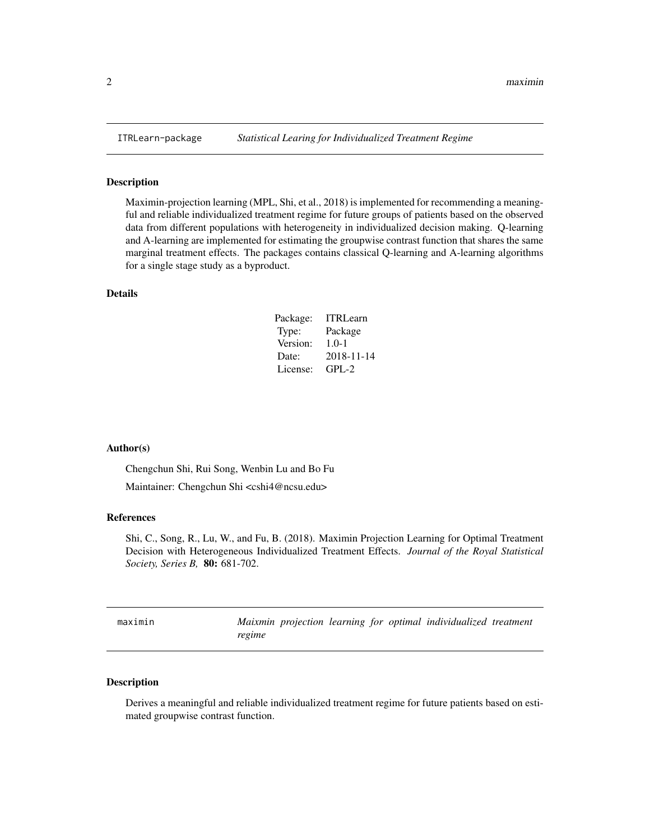#### Description

Maximin-projection learning (MPL, Shi, et al., 2018) is implemented for recommending a meaningful and reliable individualized treatment regime for future groups of patients based on the observed data from different populations with heterogeneity in individualized decision making. Q-learning and A-learning are implemented for estimating the groupwise contrast function that shares the same marginal treatment effects. The packages contains classical Q-learning and A-learning algorithms for a single stage study as a byproduct.

#### Details

| Package: | <b>ITRLearn</b> |
|----------|-----------------|
| Type:    | Package         |
| Version: | $1.0 - 1$       |
| Date:    | 2018-11-14      |
| License: | $GPI - 2$       |

#### Author(s)

Chengchun Shi, Rui Song, Wenbin Lu and Bo Fu

Maintainer: Chengchun Shi <cshi4@ncsu.edu>

#### References

Shi, C., Song, R., Lu, W., and Fu, B. (2018). Maximin Projection Learning for Optimal Treatment Decision with Heterogeneous Individualized Treatment Effects. *Journal of the Royal Statistical Society, Series B,* 80: 681-702.

<span id="page-1-1"></span>maximin *Maixmin projection learning for optimal individualized treatment regime*

#### Description

Derives a meaningful and reliable individualized treatment regime for future patients based on estimated groupwise contrast function.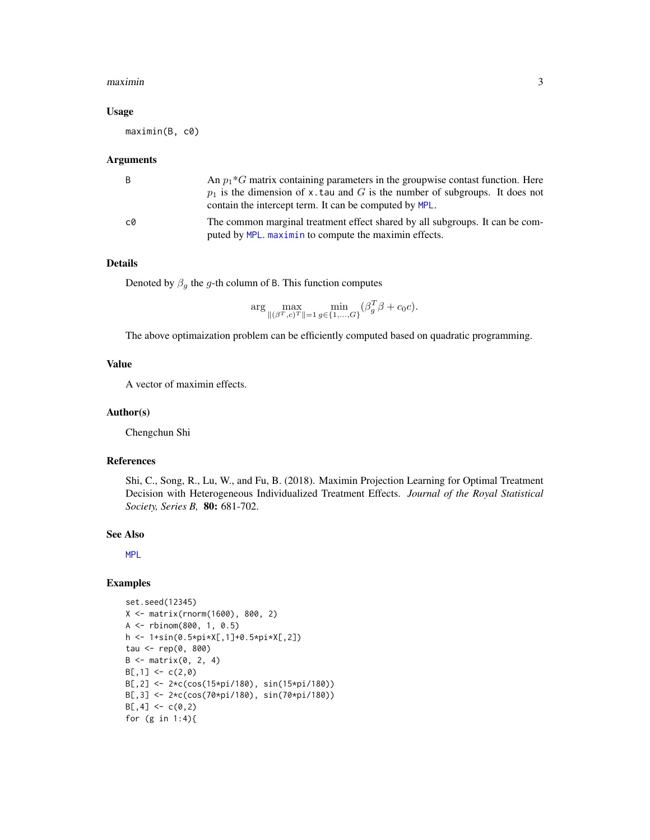#### <span id="page-2-0"></span> $maximin$  3

#### Usage

maximin(B, c0)

#### Arguments

|    | An $p_1*G$ matrix containing parameters in the groupwise contast function. Here<br>$p_1$ is the dimension of x. tau and G is the number of subgroups. It does not<br>contain the intercept term. It can be computed by MPL. |
|----|-----------------------------------------------------------------------------------------------------------------------------------------------------------------------------------------------------------------------------|
| c0 | The common marginal treatment effect shared by all subgroups. It can be com-<br>puted by MPL. maximin to compute the maximin effects.                                                                                       |

#### Details

Denoted by  $\beta_g$  the g-th column of B. This function computes

$$
\arg \max_{\|(\beta^T, c)^T\|=1} \min_{g \in \{1, ..., G\}} (\beta_g^T \beta + c_0 c).
$$

The above optimaization problem can be efficiently computed based on quadratic programming.

#### Value

A vector of maximin effects.

#### Author(s)

Chengchun Shi

#### References

Shi, C., Song, R., Lu, W., and Fu, B. (2018). Maximin Projection Learning for Optimal Treatment Decision with Heterogeneous Individualized Treatment Effects. *Journal of the Royal Statistical Society, Series B,* 80: 681-702.

#### See Also

[MPL](#page-3-1)

#### Examples

```
set.seed(12345)
X <- matrix(rnorm(1600), 800, 2)
A <- rbinom(800, 1, 0.5)
h <- 1+sin(0.5*pi*X[,1]+0.5*pi*X[,2])
tau <- rep(0, 800)
B \leq - matrix(0, 2, 4)
B[, 1] <- c(2, 0)B[,2] <- 2*c(cos(15*pi/180), sin(15*pi/180))
B[,3] <- 2*c(cos(70*pi/180), sin(70*pi/180))
B[, 4] < -c(0, 2)for (g in 1:4){
```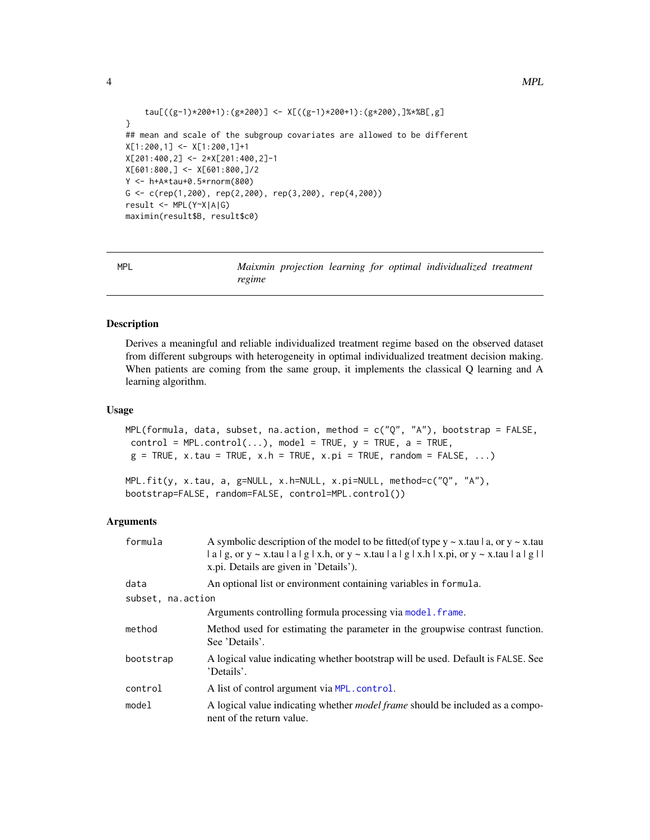```
tau[((g-1)*200+1):(g*200)] <- X[((g-1)*200+1):(g*200),]%*%B[,g]
}
## mean and scale of the subgroup covariates are allowed to be different
X[1:200,1] <- X[1:200,1]+1
X[201:400,2] <- 2*X[201:400,2]-1
X[601:800,] <- X[601:800,]/2
Y <- h+A*tau+0.5*rnorm(800)
G <- c(rep(1,200), rep(2,200), rep(3,200), rep(4,200))
result <- MPL(Y~X|A|G)
maximin(result$B, result$c0)
```
<span id="page-3-1"></span>MPL *Maixmin projection learning for optimal individualized treatment regime*

#### <span id="page-3-2"></span>Description

Derives a meaningful and reliable individualized treatment regime based on the observed dataset from different subgroups with heterogeneity in optimal individualized treatment decision making. When patients are coming from the same group, it implements the classical Q learning and A learning algorithm.

#### Usage

```
MPL(formula, data, subset, na.action, method = c("Q", "A"), bootstrap = FALSE,
control = MPL.contrib()..), model = TRUE, y = TRUE, a = TRUE,g = TRUE, x.tau = TRUE, x.h = TRUE, x.pi = TRUE, random = FALSE, ...)
```

```
MPL.fit(y, x.tau, a, g=NULL, x.h=NULL, x.pi=NULL, method=c("Q", "A"),
bootstrap=FALSE, random=FALSE, control=MPL.control())
```
#### Arguments

| formula           | A symbolic description of the model to be fitted (of type $y \sim x$ tau   a, or $y \sim x$ tau<br>$ a g$ , or y ~ x.tau $ a g x,h$ , or y ~ x.tau $ a g x,h x,pi$ , or y ~ x.tau $ a g $<br>x.pi. Details are given in 'Details'). |
|-------------------|-------------------------------------------------------------------------------------------------------------------------------------------------------------------------------------------------------------------------------------|
| data              | An optional list or environment containing variables in formula.                                                                                                                                                                    |
| subset, na.action |                                                                                                                                                                                                                                     |
|                   | Arguments controlling formula processing via model. frame.                                                                                                                                                                          |
| method            | Method used for estimating the parameter in the groupwise contrast function.<br>See 'Details'.                                                                                                                                      |
| bootstrap         | A logical value indicating whether bootstrap will be used. Default is FALSE. See<br>'Details'.                                                                                                                                      |
| control           | A list of control argument via MPL, control.                                                                                                                                                                                        |
| model             | A logical value indicating whether <i>model frame</i> should be included as a compo-<br>nent of the return value.                                                                                                                   |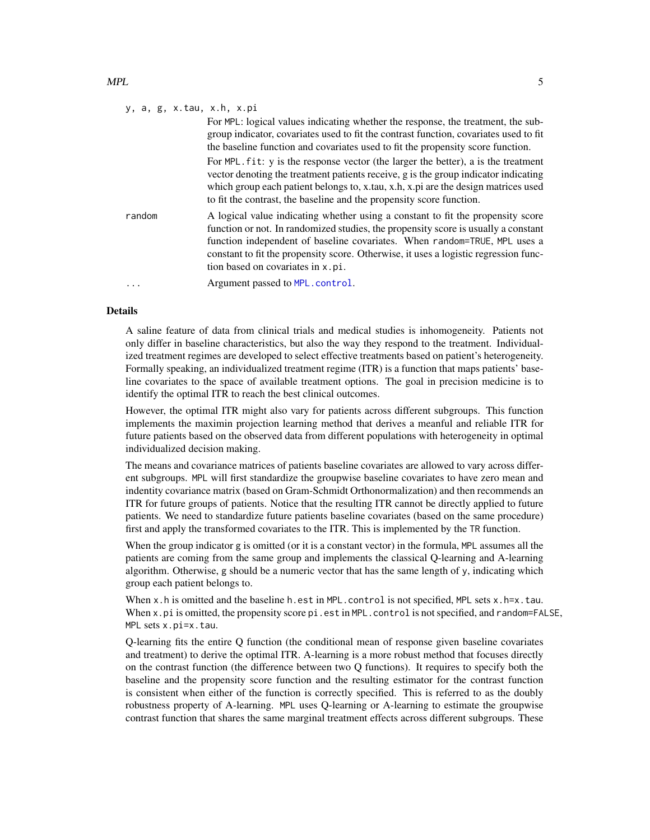#### $MPL$  5

|         | y, a, g, x.tau, x.h, x.pi                                                                                                                                                                                                                                                                                                                                                       |
|---------|---------------------------------------------------------------------------------------------------------------------------------------------------------------------------------------------------------------------------------------------------------------------------------------------------------------------------------------------------------------------------------|
|         | For MPL: logical values indicating whether the response, the treatment, the sub-<br>group indicator, covariates used to fit the contrast function, covariates used to fit<br>the baseline function and covariates used to fit the propensity score function.                                                                                                                    |
|         | For MPL, fit: y is the response vector (the larger the better), a is the treatment<br>vector denoting the treatment patients receive, g is the group indicator indicating<br>which group each patient belongs to, x.tau, x.h, x.pi are the design matrices used<br>to fit the contrast, the baseline and the propensity score function.                                         |
| random  | A logical value indicating whether using a constant to fit the propensity score<br>function or not. In randomized studies, the propensity score is usually a constant<br>function independent of baseline covariates. When random=TRUE, MPL uses a<br>constant to fit the propensity score. Otherwise, it uses a logistic regression func-<br>tion based on covariates in x.pi. |
| $\cdot$ | Argument passed to MPL.control.                                                                                                                                                                                                                                                                                                                                                 |

#### Details

A saline feature of data from clinical trials and medical studies is inhomogeneity. Patients not only differ in baseline characteristics, but also the way they respond to the treatment. Individualized treatment regimes are developed to select effective treatments based on patient's heterogeneity. Formally speaking, an individualized treatment regime (ITR) is a function that maps patients' baseline covariates to the space of available treatment options. The goal in precision medicine is to identify the optimal ITR to reach the best clinical outcomes.

However, the optimal ITR might also vary for patients across different subgroups. This function implements the maximin projection learning method that derives a meanful and reliable ITR for future patients based on the observed data from different populations with heterogeneity in optimal individualized decision making.

The means and covariance matrices of patients baseline covariates are allowed to vary across different subgroups. MPL will first standardize the groupwise baseline covariates to have zero mean and indentity covariance matrix (based on Gram-Schmidt Orthonormalization) and then recommends an ITR for future groups of patients. Notice that the resulting ITR cannot be directly applied to future patients. We need to standardize future patients baseline covariates (based on the same procedure) first and apply the transformed covariates to the ITR. This is implemented by the TR function.

When the group indicator g is omitted (or it is a constant vector) in the formula, MPL assumes all the patients are coming from the same group and implements the classical Q-learning and A-learning algorithm. Otherwise, g should be a numeric vector that has the same length of  $\gamma$ , indicating which group each patient belongs to.

When x.h is omitted and the baseline h.est in MPL.control is not specified, MPL sets x.h=x.tau. When x.pi is omitted, the propensity score pi.est in MPL.control is not specified, and random=FALSE, MPL sets x.pi=x.tau.

Q-learning fits the entire Q function (the conditional mean of response given baseline covariates and treatment) to derive the optimal ITR. A-learning is a more robust method that focuses directly on the contrast function (the difference between two Q functions). It requires to specify both the baseline and the propensity score function and the resulting estimator for the contrast function is consistent when either of the function is correctly specified. This is referred to as the doubly robustness property of A-learning. MPL uses Q-learning or A-learning to estimate the groupwise contrast function that shares the same marginal treatment effects across different subgroups. These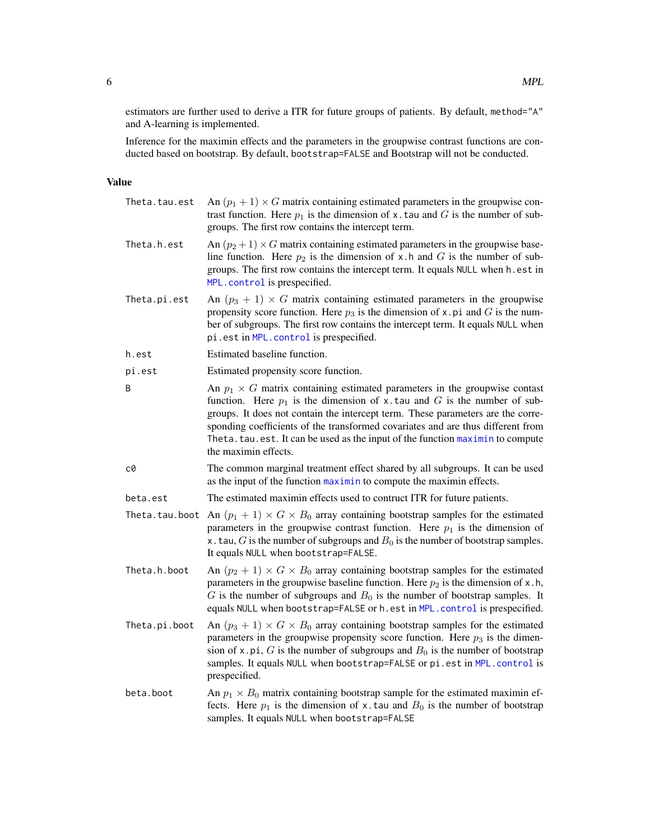<span id="page-5-0"></span>estimators are further used to derive a ITR for future groups of patients. By default, method="A" and A-learning is implemented.

Inference for the maximin effects and the parameters in the groupwise contrast functions are conducted based on bootstrap. By default, bootstrap=FALSE and Bootstrap will not be conducted.

#### Value

| Theta.tau.est  | An $(p_1 + 1) \times G$ matrix containing estimated parameters in the groupwise con-<br>trast function. Here $p_1$ is the dimension of x. tau and G is the number of sub-<br>groups. The first row contains the intercept term.                                                                                                                                                                                                                  |
|----------------|--------------------------------------------------------------------------------------------------------------------------------------------------------------------------------------------------------------------------------------------------------------------------------------------------------------------------------------------------------------------------------------------------------------------------------------------------|
| Theta.h.est    | An $(p_2 + 1) \times G$ matrix containing estimated parameters in the groupwise base-<br>line function. Here $p_2$ is the dimension of x.h and G is the number of sub-<br>groups. The first row contains the intercept term. It equals NULL when h.est in<br>MPL.control is prespecified.                                                                                                                                                        |
| Theta.pi.est   | An $(p_3 + 1) \times G$ matrix containing estimated parameters in the groupwise<br>propensity score function. Here $p_3$ is the dimension of x. pi and G is the num-<br>ber of subgroups. The first row contains the intercept term. It equals NULL when<br>pi.est in MPL.control is prespecified.                                                                                                                                               |
| h.est          | Estimated baseline function.                                                                                                                                                                                                                                                                                                                                                                                                                     |
| pi.est         | Estimated propensity score function.                                                                                                                                                                                                                                                                                                                                                                                                             |
| B              | An $p_1 \times G$ matrix containing estimated parameters in the groupwise contast<br>function. Here $p_1$ is the dimension of x.tau and G is the number of sub-<br>groups. It does not contain the intercept term. These parameters are the corre-<br>sponding coefficients of the transformed covariates and are thus different from<br>Theta. tau. est. It can be used as the input of the function maximin to compute<br>the maximin effects. |
| c0             | The common marginal treatment effect shared by all subgroups. It can be used<br>as the input of the function maximin to compute the maximin effects.                                                                                                                                                                                                                                                                                             |
| beta.est       | The estimated maximin effects used to contruct ITR for future patients.                                                                                                                                                                                                                                                                                                                                                                          |
| Theta.tau.boot | An $(p_1 + 1) \times G \times B_0$ array containing bootstrap samples for the estimated<br>parameters in the groupwise contrast function. Here $p_1$ is the dimension of<br>x. tau, G is the number of subgroups and $B_0$ is the number of bootstrap samples.<br>It equals NULL when bootstrap=FALSE.                                                                                                                                           |
| Theta.h.boot   | An $(p_2 + 1) \times G \times B_0$ array containing bootstrap samples for the estimated<br>parameters in the groupwise baseline function. Here $p_2$ is the dimension of x.h,<br>G is the number of subgroups and $B_0$ is the number of bootstrap samples. It<br>equals NULL when bootstrap=FALSE or h.est in MPL.control is prespecified.                                                                                                      |
| Theta.pi.boot  | An $(p_3 + 1) \times G \times B_0$ array containing bootstrap samples for the estimated<br>parameters in the groupwise propensity score function. Here $p_3$ is the dimen-<br>sion of x.pi, G is the number of subgroups and $B_0$ is the number of bootstrap<br>samples. It equals NULL when bootstrap=FALSE or pi.est in MPL.control is<br>prespecified.                                                                                       |
| beta.boot      | An $p_1 \times B_0$ matrix containing bootstrap sample for the estimated maximin ef-<br>fects. Here $p_1$ is the dimension of x. tau and $B_0$ is the number of bootstrap<br>samples. It equals NULL when bootstrap=FALSE                                                                                                                                                                                                                        |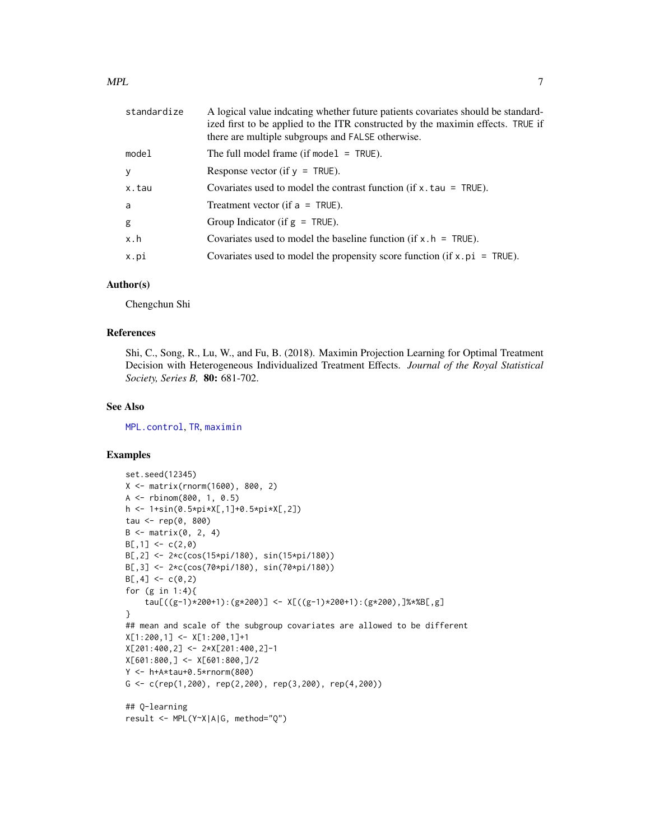<span id="page-6-0"></span>

| standardize | A logical value indeating whether future patients covariates should be standard-<br>ized first to be applied to the ITR constructed by the maximin effects. TRUE if<br>there are multiple subgroups and FALSE otherwise. |
|-------------|--------------------------------------------------------------------------------------------------------------------------------------------------------------------------------------------------------------------------|
| model       | The full model frame (if model $=$ TRUE).                                                                                                                                                                                |
| y           | Response vector (if $y = TRUE$ ).                                                                                                                                                                                        |
| x.tau       | Covariates used to model the contrast function (if $x$ , tau = TRUE).                                                                                                                                                    |
| a           | Treatment vector (if $a = TRUE$ ).                                                                                                                                                                                       |
| g           | Group Indicator (if $g = TRUE$ ).                                                                                                                                                                                        |
| x.h         | Covariates used to model the baseline function (if $x \cdot h = \text{TRUE}$ ).                                                                                                                                          |
| x.pi        | Covariates used to model the propensity score function (if $x$ , $pi = TRUE$ ).                                                                                                                                          |

#### Author(s)

Chengchun Shi

#### References

Shi, C., Song, R., Lu, W., and Fu, B. (2018). Maximin Projection Learning for Optimal Treatment Decision with Heterogeneous Individualized Treatment Effects. *Journal of the Royal Statistical Society, Series B,* 80: 681-702.

#### See Also

[MPL.control](#page-7-1), [TR](#page-8-1), [maximin](#page-1-1)

#### Examples

```
set.seed(12345)
X <- matrix(rnorm(1600), 800, 2)
A <- rbinom(800, 1, 0.5)
h <- 1+sin(0.5*pi*X[,1]+0.5*pi*X[,2])
tau <- rep(0, 800)
B \le - matrix(0, 2, 4)
B[, 1] < -c(2, 0)B[,2] <- 2*c(cos(15*pi/180), sin(15*pi/180))
B[,3] <- 2*c(cos(70*pi/180), sin(70*pi/180))
B[, 4] < -c(0, 2)for (g in 1:4){
    tau[((g-1)*200+1):(g*200)] <- X[((g-1)*200+1):(g*200),]%*%B[,g]
}
## mean and scale of the subgroup covariates are allowed to be different
X[1:200,1] <- X[1:200,1]+1
X[201:400,2] <- 2*X[201:400,2]-1
X[601:800,] <- X[601:800,]/2
Y <- h+A*tau+0.5*rnorm(800)
G <- c(rep(1,200), rep(2,200), rep(3,200), rep(4,200))
## Q-learning
result <- MPL(Y~X|A|G, method="Q")
```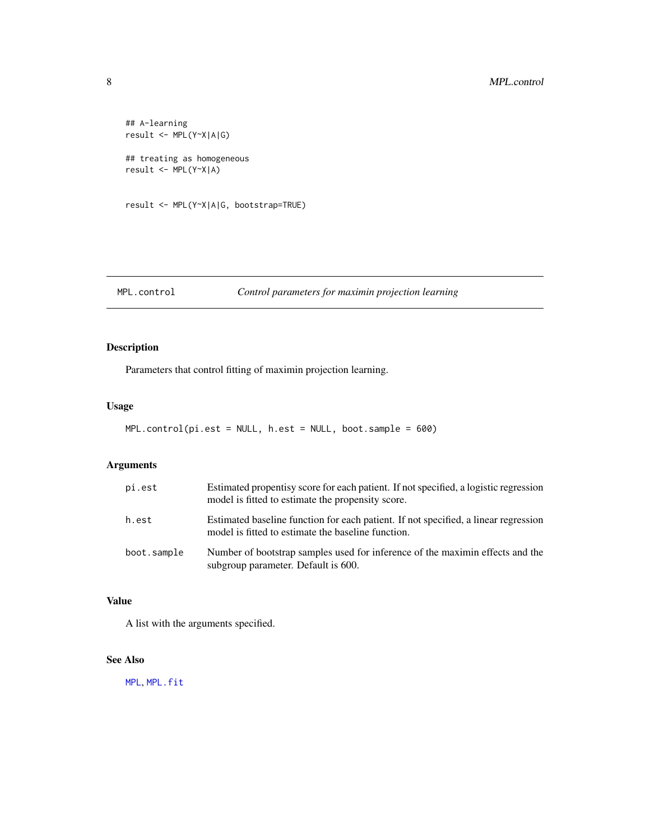```
## A-learning
result <- MPL(Y~X|A|G)
## treating as homogeneous
result <- MPL(Y~X|A)
result <- MPL(Y~X|A|G, bootstrap=TRUE)
```
#### <span id="page-7-1"></span>MPL.control *Control parameters for maximin projection learning*

#### Description

Parameters that control fitting of maximin projection learning.

#### Usage

```
MPL.control(pi.est = NULL, h.est = NULL, boot.sample = 600)
```
#### Arguments

| pi.est      | Estimated propentisy score for each patient. If not specified, a logistic regression<br>model is fitted to estimate the propensity score. |
|-------------|-------------------------------------------------------------------------------------------------------------------------------------------|
| h.est       | Estimated baseline function for each patient. If not specified, a linear regression<br>model is fitted to estimate the baseline function. |
| boot.sample | Number of bootstrap samples used for inference of the maximin effects and the<br>subgroup parameter. Default is 600.                      |

#### Value

A list with the arguments specified.

#### See Also

[MPL](#page-3-1), [MPL.fit](#page-3-2)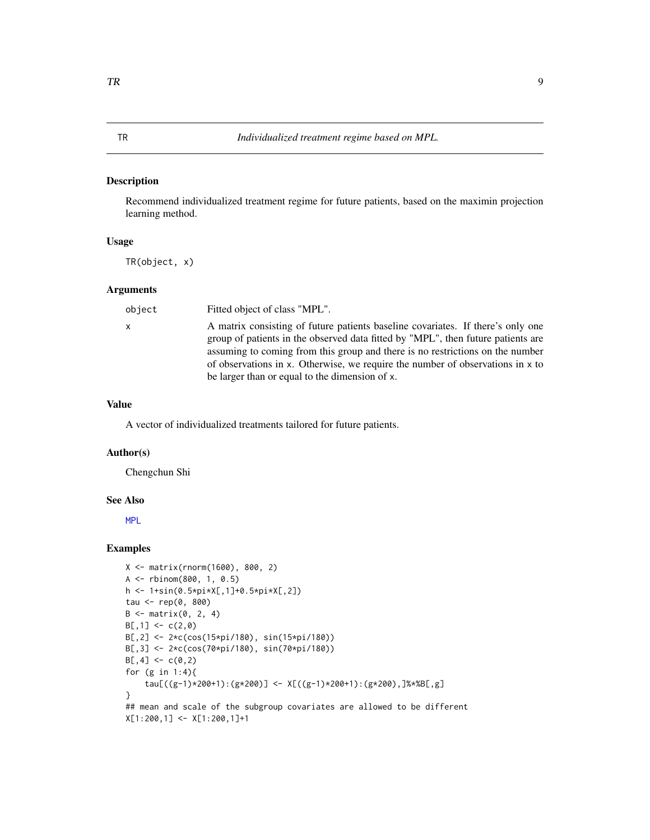#### <span id="page-8-1"></span><span id="page-8-0"></span>Description

Recommend individualized treatment regime for future patients, based on the maximin projection learning method.

#### Usage

TR(object, x)

#### Arguments

| object       | Fitted object of class "MPL".                                                    |
|--------------|----------------------------------------------------------------------------------|
| $\mathsf{X}$ | A matrix consisting of future patients baseline covariates. If there's only one  |
|              | group of patients in the observed data fitted by "MPL", then future patients are |
|              | assuming to coming from this group and there is no restrictions on the number    |
|              | of observations in x. Otherwise, we require the number of observations in x to   |
|              | be larger than or equal to the dimension of x.                                   |

#### Value

A vector of individualized treatments tailored for future patients.

#### Author(s)

Chengchun Shi

#### See Also

[MPL](#page-3-1)

#### Examples

```
X <- matrix(rnorm(1600), 800, 2)
A <- rbinom(800, 1, 0.5)
h <- 1+sin(0.5*pi*X[,1]+0.5*pi*X[,2])
tau <- rep(0, 800)
B \leftarrow matrix(0, 2, 4)B[, 1] <- c(2, 0)B[,2] <- 2*c(cos(15*pi/180), sin(15*pi/180))
B[,3] <- 2*c(cos(70*pi/180), sin(70*pi/180))
B[, 4] < -c(0, 2)for (g in 1:4){
    tau[((g-1)*200+1):(g*200)] <- X[((g-1)*200+1):(g*200),]%*%B[,g]
}
## mean and scale of the subgroup covariates are allowed to be different
X[1:200,1] <- X[1:200,1]+1
```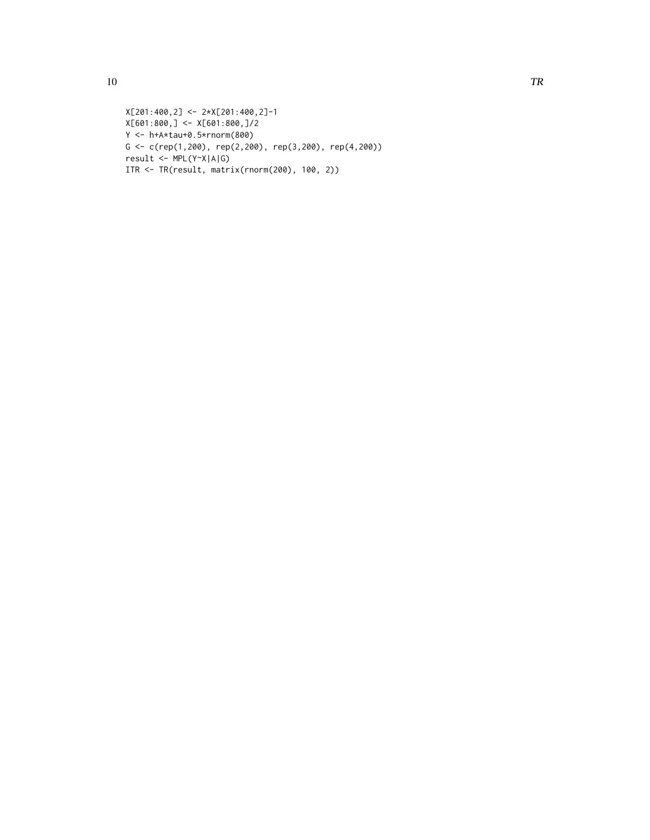```
X[201:400,2] <- 2*X[201:400,2]-1
X[601:800,] <- X[601:800,]/2
Y <- h+A*tau+0.5*rnorm(800)
G <- c(rep(1,200), rep(2,200), rep(3,200), rep(4,200))
result <- MPL(Y~X|A|G)
ITR <- TR(result, matrix(rnorm(200), 100, 2))
```